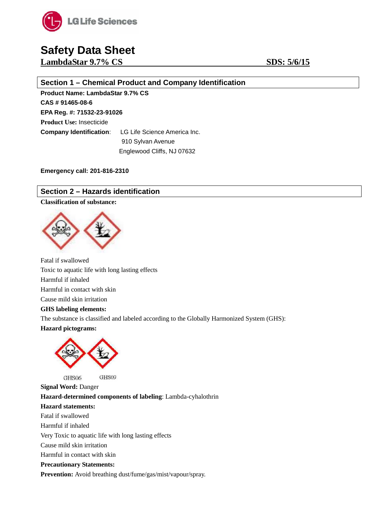

**LambdaStar 9.7% CS SDS:** 5/6/15

### **Section 1 – Chemical Product and Company Identification**

**Product Name: LambdaStar 9.7% CS CAS # 91465-08-6 EPA Reg. #: 71532-23-91026 Product Use:** Insecticide **Company Identification**: LG Life Science America Inc. 910 Sylvan Avenue Englewood Cliffs, NJ 07632

**Emergency call: 201-816-2310**

### **Section 2 – Hazards identification**

### **Classification of substance:**



Fatal if swallowed Toxic to aquatic life with long lasting effects Harmful if inhaled Harmful in contact with skin Cause mild skin irritation **GHS labeling elements:** The substance is classified and labeled according to the Globally Harmonized System (GHS): **Hazard pictograms:**



GHS09 GHS06

**Signal Word:** Danger **Hazard-determined components of labeling**: Lambda-cyhalothrin **Hazard statements:** Fatal if swallowed Harmful if inhaled Very Toxic to aquatic life with long lasting effects Cause mild skin irritation Harmful in contact with skin **Precautionary Statements: Prevention:** Avoid breathing dust/fume/gas/mist/vapour/spray.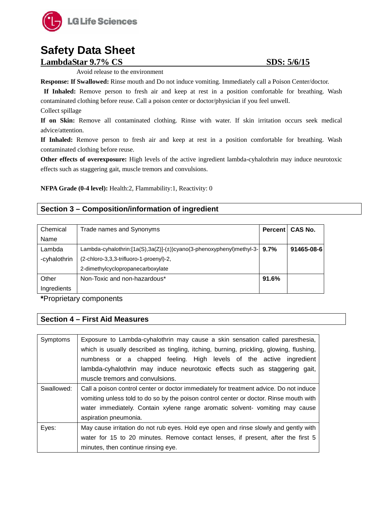

**LambdaStar 9.7% CS SDS: 5/6/15**

Avoid release to the environment

**Response: If Swallowed:** Rinse mouth and Do not induce vomiting. Immediately call a Poison Center/doctor.

**If Inhaled:** Remove person to fresh air and keep at rest in a position comfortable for breathing. Wash contaminated clothing before reuse. Call a poison center or doctor/physician if you feel unwell.

Collect spillage

**If on Skin:** Remove all contaminated clothing. Rinse with water. If skin irritation occurs seek medical advice/attention.

**If Inhaled:** Remove person to fresh air and keep at rest in a position comfortable for breathing. Wash contaminated clothing before reuse.

**Other effects of overexposure:** High levels of the active ingredient lambda-cyhalothrin may induce neurotoxic effects such as staggering gait, muscle tremors and convulsions.

**NFPA Grade (0-4 level):** Health:2, Flammability:1, Reactivity: 0

### **Section 3 – Composition/information of ingredient**

| Chemical     | Trade names and Synonyms                                             | <b>Percent</b> | CAS No.    |
|--------------|----------------------------------------------------------------------|----------------|------------|
| Name         |                                                                      |                |            |
| Lambda       | Lambda-cyhalothrin:[1a(S),3a(Z)]-(±))cyano(3-phenoxyphenyl)methyl-3- | 9.7%           | 91465-08-6 |
| -cyhalothrin | (2-chloro-3,3,3-trifluoro-1-proenyl)-2,                              |                |            |
|              | 2-dimethylcyclopropanecarboxylate                                    |                |            |
| Other        | Non-Toxic and non-hazardous*                                         | 91.6%          |            |
| Ingredients  |                                                                      |                |            |

**\***Proprietary components

### **Section 4 – First Aid Measures**

| Symptoms   | Exposure to Lambda-cyhalothrin may cause a skin sensation called paresthesia,           |  |  |  |  |
|------------|-----------------------------------------------------------------------------------------|--|--|--|--|
|            | which is usually described as tingling, itching, burning, prickling, glowing, flushing, |  |  |  |  |
|            | numbness or a chapped feeling. High levels of the active ingredient                     |  |  |  |  |
|            | lambda-cyhalothrin may induce neurotoxic effects such as staggering gait,               |  |  |  |  |
|            | muscle tremors and convulsions.                                                         |  |  |  |  |
| Swallowed: | Call a poison control center or doctor immediately for treatment advice. Do not induce  |  |  |  |  |
|            | vomiting unless told to do so by the poison control center or doctor. Rinse mouth with  |  |  |  |  |
|            | water immediately. Contain xylene range aromatic solvent- vomiting may cause            |  |  |  |  |
|            | aspiration pneumonia.                                                                   |  |  |  |  |
| Eyes:      | May cause irritation do not rub eyes. Hold eye open and rinse slowly and gently with    |  |  |  |  |
|            | water for 15 to 20 minutes. Remove contact lenses, if present, after the first 5        |  |  |  |  |
|            | minutes, then continue rinsing eye.                                                     |  |  |  |  |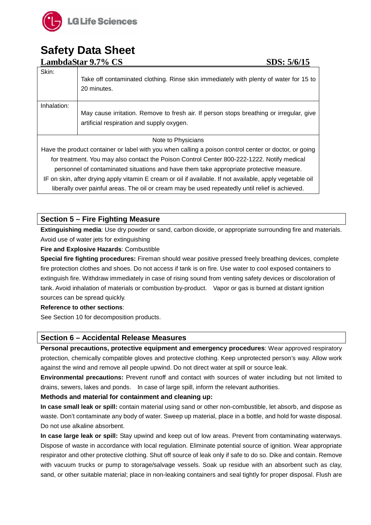

|                                                                                                                                                                                                                                                                                                | LambdaStar 9.7% CS<br>SDS: 5/6/15                                                                                                                                                                            |
|------------------------------------------------------------------------------------------------------------------------------------------------------------------------------------------------------------------------------------------------------------------------------------------------|--------------------------------------------------------------------------------------------------------------------------------------------------------------------------------------------------------------|
| Skin:                                                                                                                                                                                                                                                                                          | Take off contaminated clothing. Rinse skin immediately with plenty of water for 15 to<br>20 minutes.                                                                                                         |
| Inhalation:                                                                                                                                                                                                                                                                                    | May cause irritation. Remove to fresh air. If person stops breathing or irregular, give<br>artificial respiration and supply oxygen.                                                                         |
|                                                                                                                                                                                                                                                                                                | Note to Physicians                                                                                                                                                                                           |
| Have the product container or label with you when calling a poison control center or doctor, or going<br>for treatment. You may also contact the Poison Control Center 800-222-1222. Notify medical<br>personnel of contaminated situations and have them take appropriate protective measure. |                                                                                                                                                                                                              |
|                                                                                                                                                                                                                                                                                                | IF on skin, after drying apply vitamin E cream or oil if available. If not available, apply vegetable oil<br>liberally over painful areas. The oil or cream may be used repeatedly until relief is achieved. |

### **Section 5 – Fire Fighting Measure**

**Extinguishing media**: Use dry powder or sand, carbon dioxide, or appropriate surrounding fire and materials. Avoid use of water jets for extinguishing

### **Fire and Explosive Hazards**: Combustible

**Special fire fighting procedures:** Fireman should wear positive pressed freely breathing devices, complete fire protection clothes and shoes. Do not access if tank is on fire. Use water to cool exposed containers to extinguish fire. Withdraw immediately in case of rising sound from venting safety devices or discoloration of tank. Avoid inhalation of materials or combustion by-product. Vapor or gas is burned at distant ignition sources can be spread quickly.

### **Reference to other sections**:

See Section 10 for decomposition products.

### **Section 6 – Accidental Release Measures**

**Personal precautions, protective equipment and emergency procedures**: Wear approved respiratory protection, chemically compatible gloves and protective clothing. Keep unprotected person's way. Allow work against the wind and remove all people upwind. Do not direct water at spill or source leak.

**Environmental precautions:** Prevent runoff and contact with sources of water including but not limited to drains, sewers, lakes and ponds. In case of large spill, inform the relevant authorities.

### **Methods and material for containment and cleaning up:**

**In case small leak or spill:** contain material using sand or other non-combustible, let absorb, and dispose as waste. Don't contaminate any body of water. Sweep up material, place in a bottle, and hold for waste disposal. Do not use alkaline absorbent.

**In case large leak or spill:** Stay upwind and keep out of low areas. Prevent from contaminating waterways. Dispose of waste in accordance with local regulation. Eliminate potential source of ignition. Wear appropriate respirator and other protective clothing. Shut off source of leak only if safe to do so. Dike and contain. Remove with vacuum trucks or pump to storage/salvage vessels. Soak up residue with an absorbent such as clay, sand, or other suitable material; place in non-leaking containers and seal tightly for proper disposal. Flush are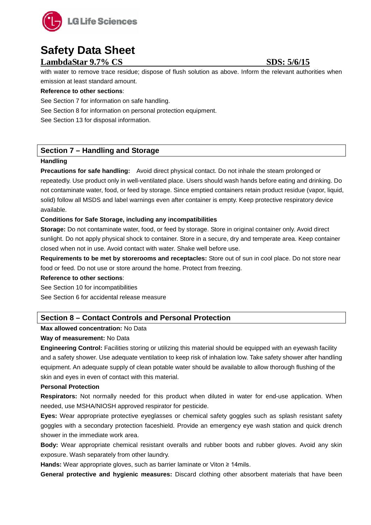

### **LambdaStar 9.7% CS SDS:** 5/6/15

with water to remove trace residue; dispose of flush solution as above. Inform the relevant authorities when emission at least standard amount.

### **Reference to other sections**:

See Section 7 for information on safe handling.

See Section 8 for information on personal protection equipment.

See Section 13 for disposal information.

### **Section 7 – Handling and Storage**

### **Handling**

**Precautions for safe handling:** Avoid direct physical contact. Do not inhale the steam prolonged or repeatedly. Use product only in well-ventilated place. Users should wash hands before eating and drinking. Do not contaminate water, food, or feed by storage. Since emptied containers retain product residue (vapor, liquid, solid) follow all MSDS and label warnings even after container is empty. Keep protective respiratory device available.

### **Conditions for Safe Storage, including any incompatibilities**

**Storage:** Do not contaminate water, food, or feed by storage. Store in original container only. Avoid direct sunlight. Do not apply physical shock to container. Store in a secure, dry and temperate area. Keep container closed when not in use. Avoid contact with water. Shake well before use.

**Requirements to be met by storerooms and receptacles:** Store out of sun in cool place. Do not store near food or feed. Do not use or store around the home. Protect from freezing.

### **Reference to other sections**:

See Section 10 for incompatibilities

See Section 6 for accidental release measure

### **Section 8 – Contact Controls and Personal Protection**

### **Max allowed concentration:** No Data

### **Way of measurement:** No Data

**Engineering Control:** Facilities storing or utilizing this material should be equipped with an eyewash facility and a safety shower. Use adequate ventilation to keep risk of inhalation low. Take safety shower after handling equipment. An adequate supply of clean potable water should be available to allow thorough flushing of the skin and eyes in even of contact with this material.

### **Personal Protection**

**Respirators:** Not normally needed for this product when diluted in water for end-use application. When needed, use MSHA/NIOSH approved respirator for pesticide.

**Eyes:** Wear appropriate protective eyeglasses or chemical safety goggles such as splash resistant safety goggles with a secondary protection faceshield. Provide an emergency eye wash station and quick drench shower in the immediate work area.

**Body:** Wear appropriate chemical resistant overalls and rubber boots and rubber gloves. Avoid any skin exposure. Wash separately from other laundry.

**Hands:** Wear appropriate gloves, such as barrier laminate or Viton ≥ 14mils.

**General protective and hygienic measures:** Discard clothing other absorbent materials that have been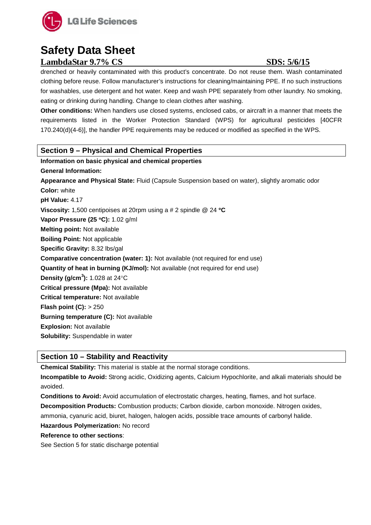

### **LambdaStar 9.7% CS SDS:** 5/6/15

drenched or heavily contaminated with this product's concentrate. Do not reuse them. Wash contaminated clothing before reuse. Follow manufacturer's instructions for cleaning/maintaining PPE. If no such instructions for washables, use detergent and hot water. Keep and wash PPE separately from other laundry. No smoking, eating or drinking during handling. Change to clean clothes after washing.

**Other conditions:** When handlers use closed systems, enclosed cabs, or aircraft in a manner that meets the requirements listed in the Worker Protection Standard (WPS) for agricultural pesticides [40CFR 170.240(d)(4-6)], the handler PPE requirements may be reduced or modified as specified in the WPS.

### **Section 9 – Physical and Chemical Properties**

**Information on basic physical and chemical properties General Information: Appearance and Physical State:** Fluid (Capsule Suspension based on water), slightly aromatic odor **Color:** white **pH Value:** 4.17 **Viscosity:** 1,500 centipoises at 20rpm using a # 2 spindle @ 24 °**C Vapor Pressure (25** °**C):** 1.02 g/ml **Melting point:** Not available **Boiling Point:** Not applicable **Specific Gravity:** 8.32 lbs/gal **Comparative concentration (water: 1):** Not available (not required for end use) **Quantity of heat in burning (KJ/mol):** Not available (not required for end use) **Density (g/cm<sup>3</sup> ):** 1.028 at 24°C **Critical pressure (Mpa):** Not available **Critical temperature:** Not available **Flash point (C):** > 250 **Burning temperature (C):** Not available **Explosion:** Not available **Solubility:** Suspendable in water

### **Section 10 – Stability and Reactivity**

**Chemical Stability:** This material is stable at the normal storage conditions.

**Incompatible to Avoid:** Strong acidic, Oxidizing agents, Calcium Hypochlorite, and alkali materials should be avoided.

**Conditions to Avoid:** Avoid accumulation of electrostatic charges, heating, flames, and hot surface. **Decomposition Products:** Combustion products; Carbon dioxide, carbon monoxide. Nitrogen oxides, ammonia, cyanuric acid, biuret, halogen, halogen acids, possible trace amounts of carbonyl halide.

### **Hazardous Polymerization:** No record

### **Reference to other sections**:

See Section 5 for static discharge potential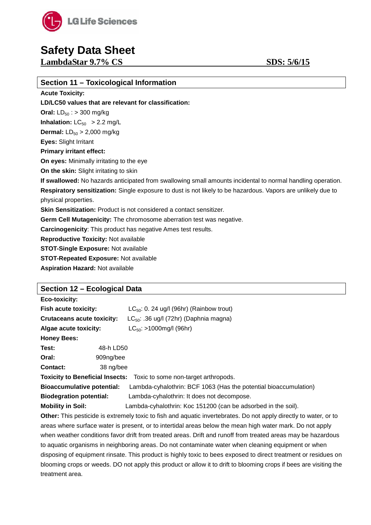

**LambdaStar 9.7% CS SDS:** 5/6/15

| Section 11 – Toxicological Information                                                                       |
|--------------------------------------------------------------------------------------------------------------|
| <b>Acute Toxicity:</b>                                                                                       |
| LD/LC50 values that are relevant for classification:                                                         |
| <b>Oral:</b> $LD_{50}$ : > 300 mg/kg                                                                         |
| <b>Inhalation:</b> $LC_{50}$ > 2.2 mg/L                                                                      |
| <b>Dermal:</b> $LD_{50} > 2,000$ mg/kg                                                                       |
| <b>Eyes: Slight Irritant</b>                                                                                 |
| <b>Primary irritant effect:</b>                                                                              |
| On eyes: Minimally irritating to the eye                                                                     |
| On the skin: Slight irritating to skin                                                                       |
| If swallowed: No hazards anticipated from swallowing small amounts incidental to normal handling operation.  |
| Respiratory sensitization: Single exposure to dust is not likely to be hazardous. Vapors are unlikely due to |
| physical properties.                                                                                         |
| <b>Skin Sensitization:</b> Product is not considered a contact sensitizer.                                   |
| Germ Cell Mutagenicity: The chromosome aberration test was negative.                                         |
| <b>Carcinogenicity:</b> This product has negative Ames test results.                                         |
| <b>Reproductive Toxicity: Not available</b>                                                                  |
| <b>STOT-Single Exposure: Not available</b>                                                                   |
| <b>STOT-Repeated Exposure: Not available</b>                                                                 |
| <b>Aspiration Hazard: Not available</b>                                                                      |

### **Section 12 – Ecological Data**

| Eco-toxicity:                                                               |                                                                  |  |
|-----------------------------------------------------------------------------|------------------------------------------------------------------|--|
| <b>Fish acute toxicity:</b>                                                 | $LC_{50}$ : 0. 24 ug/l (96hr) (Rainbow trout)                    |  |
| <b>Crutaceans acute toxicity:</b>                                           | $LC_{50}$ : .36 ug/l (72hr) (Daphnia magna)                      |  |
| Algae acute toxicity:                                                       | $LC_{50}$ : >1000mg/l (96hr)                                     |  |
| <b>Honey Bees:</b>                                                          |                                                                  |  |
| Test:<br>48-h LD50                                                          |                                                                  |  |
| Oral:<br>909ng/bee                                                          |                                                                  |  |
| Contact:<br>38 ng/bee                                                       |                                                                  |  |
| <b>Toxicity to Beneficial Insects:</b> Toxic to some non-target arthropods. |                                                                  |  |
| <b>Bioaccumulative potential:</b>                                           | Lambda-cyhalothrin: BCF 1063 (Has the potential bioaccumulation) |  |
| <b>Biodegration potential:</b>                                              | Lambda-cyhalothrin: It does not decompose.                       |  |
| <b>Mobility in Soil:</b>                                                    | Lambda-cyhalothrin: Koc 151200 (can be adsorbed in the soil).    |  |

**Other:** This pesticide is extremely toxic to fish and aquatic invertebrates. Do not apply directly to water, or to areas where surface water is present, or to intertidal areas below the mean high water mark. Do not apply when weather conditions favor drift from treated areas. Drift and runoff from treated areas may be hazardous to aquatic organisms in neighboring areas. Do not contaminate water when cleaning equipment or when disposing of equipment rinsate. This product is highly toxic to bees exposed to direct treatment or residues on blooming crops or weeds. DO not apply this product or allow it to drift to blooming crops if bees are visiting the treatment area.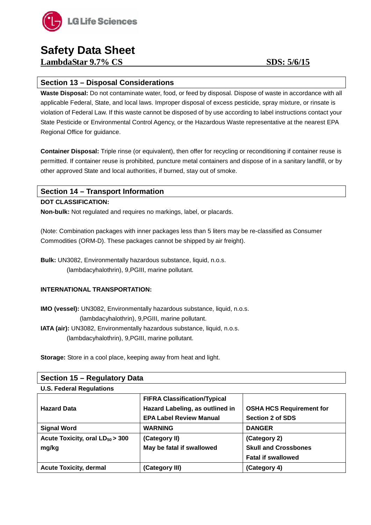

**LambdaStar 9.7% CS SDS:** 5/6/15

### **Section 13 – Disposal Considerations**

**Waste Disposal:** Do not contaminate water, food, or feed by disposal. Dispose of waste in accordance with all applicable Federal, State, and local laws. Improper disposal of excess pesticide, spray mixture, or rinsate is violation of Federal Law. If this waste cannot be disposed of by use according to label instructions contact your State Pesticide or Environmental Control Agency, or the Hazardous Waste representative at the nearest EPA Regional Office for guidance.

**Container Disposal:** Triple rinse (or equivalent), then offer for recycling or reconditioning if container reuse is permitted. If container reuse is prohibited, puncture metal containers and dispose of in a sanitary landfill, or by other approved State and local authorities, if burned, stay out of smoke.

### **Section 14 – Transport Information**

### **DOT CLASSIFICATION:**

**Non-bulk:** Not regulated and requires no markings, label, or placards.

(Note: Combination packages with inner packages less than 5 liters may be re-classified as Consumer Commodities (ORM-D). These packages cannot be shipped by air freight).

**Bulk:** UN3082, Environmentally hazardous substance, liquid, n.o.s. (lambdacyhalothrin), 9,PGIII, marine pollutant.

### **INTERNATIONAL TRANSPORTATION:**

**IMO (vessel):** UN3082, Environmentally hazardous substance, liquid, n.o.s. (lambdacyhalothrin), 9,PGIII, marine pollutant.

**IATA (air):** UN3082, Environmentally hazardous substance, liquid, n.o.s. (lambdacyhalothrin), 9,PGIII, marine pollutant.

**Storage:** Store in a cool place, keeping away from heat and light.

| Section 15 - Regulatory Data         |                                     |                                 |  |  |
|--------------------------------------|-------------------------------------|---------------------------------|--|--|
| <b>U.S. Federal Regulations</b>      |                                     |                                 |  |  |
|                                      | <b>FIFRA Classification/Typical</b> |                                 |  |  |
| <b>Hazard Data</b>                   | Hazard Labeling, as outlined in     | <b>OSHA HCS Requirement for</b> |  |  |
|                                      | <b>EPA Label Review Manual</b>      | <b>Section 2 of SDS</b>         |  |  |
| <b>Signal Word</b>                   | <b>WARNING</b>                      | <b>DANGER</b>                   |  |  |
| Acute Toxicity, oral $LD_{50} > 300$ | (Category II)                       | (Category 2)                    |  |  |
| mg/kg                                | May be fatal if swallowed           | <b>Skull and Crossbones</b>     |  |  |
|                                      |                                     | <b>Fatal if swallowed</b>       |  |  |
| <b>Acute Toxicity, dermal</b>        | (Category III)                      | (Category 4)                    |  |  |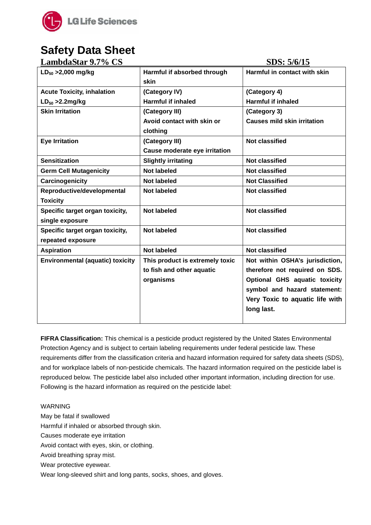

| <b>LambdaStar 9.7% CS</b>               |                                 | SDS: 5/6/15                        |
|-----------------------------------------|---------------------------------|------------------------------------|
| $LD_{50} > 2,000$ mg/kg                 | Harmful if absorbed through     | Harmful in contact with skin       |
|                                         | skin                            |                                    |
| <b>Acute Toxicity, inhalation</b>       | (Category IV)                   | (Category 4)                       |
| $LD_{50} > 2.2$ mg/kg                   | <b>Harmful if inhaled</b>       | <b>Harmful if inhaled</b>          |
| <b>Skin Irritation</b>                  | (Category III)                  | (Category 3)                       |
|                                         | Avoid contact with skin or      | <b>Causes mild skin irritation</b> |
|                                         | clothing                        |                                    |
| <b>Eye Irritation</b>                   | (Category III)                  | <b>Not classified</b>              |
|                                         | Cause moderate eye irritation   |                                    |
| <b>Sensitization</b>                    | <b>Slightly irritating</b>      | <b>Not classified</b>              |
| <b>Germ Cell Mutagenicity</b>           | <b>Not labeled</b>              | <b>Not classified</b>              |
| Carcinogenicity                         | <b>Not labeled</b>              | <b>Not Classified</b>              |
| Reproductive/developmental              | <b>Not labeled</b>              | <b>Not classified</b>              |
| <b>Toxicity</b>                         |                                 |                                    |
| Specific target organ toxicity,         | <b>Not labeled</b>              | <b>Not classified</b>              |
| single exposure                         |                                 |                                    |
| Specific target organ toxicity,         | <b>Not labeled</b>              | <b>Not classified</b>              |
| repeated exposure                       |                                 |                                    |
| <b>Aspiration</b>                       | <b>Not labeled</b>              | <b>Not classified</b>              |
| <b>Environmental (aquatic) toxicity</b> | This product is extremely toxic | Not within OSHA's jurisdiction,    |
|                                         | to fish and other aquatic       | therefore not required on SDS.     |
|                                         | organisms                       | Optional GHS aquatic toxicity      |
|                                         |                                 | symbol and hazard statement:       |
|                                         |                                 | Very Toxic to aquatic life with    |
|                                         |                                 | long last.                         |
|                                         |                                 |                                    |

**FIFRA Classification:** This chemical is a pesticide product registered by the United States Environmental Protection Agency and is subject to certain labeling requirements under federal pesticide law. These requirements differ from the classification criteria and hazard information required for safety data sheets (SDS), and for workplace labels of non-pesticide chemicals. The hazard information required on the pesticide label is reproduced below. The pesticide label also included other important information, including direction for use. Following is the hazard information as required on the pesticide label:

WARNING

May be fatal if swallowed

Harmful if inhaled or absorbed through skin.

Causes moderate eye irritation

Avoid contact with eyes, skin, or clothing.

Avoid breathing spray mist.

Wear protective eyewear.

Wear long-sleeved shirt and long pants, socks, shoes, and gloves.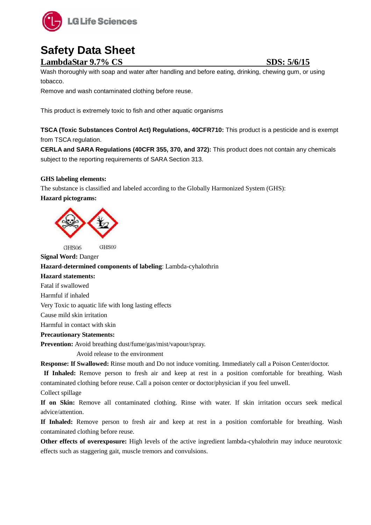

### **LambdaStar 9.7% CS SDS:** 5/6/15

Wash thoroughly with soap and water after handling and before eating, drinking, chewing gum, or using tobacco.

Remove and wash contaminated clothing before reuse.

This product is extremely toxic to fish and other aquatic organisms

**TSCA (Toxic Substances Control Act) Regulations, 40CFR710:** This product is a pesticide and is exempt from TSCA regulation.

**CERLA and SARA Regulations (40CFR 355, 370, and 372):** This product does not contain any chemicals subject to the reporting requirements of SARA Section 313.

### **GHS labeling elements:**

The substance is classified and labeled according to the Globally Harmonized System (GHS):

**Hazard pictograms:**



GHS06 GHS09

**Signal Word:** Danger **Hazard-determined components of labeling**: Lambda-cyhalothrin **Hazard statements:** Fatal if swallowed Harmful if inhaled Very Toxic to aquatic life with long lasting effects Cause mild skin irritation Harmful in contact with skin **Precautionary Statements: Prevention:** Avoid breathing dust/fume/gas/mist/vapour/spray. Avoid release to the environment

**Response: If Swallowed:** Rinse mouth and Do not induce vomiting. Immediately call a Poison Center/doctor.

**If Inhaled:** Remove person to fresh air and keep at rest in a position comfortable for breathing. Wash contaminated clothing before reuse. Call a poison center or doctor/physician if you feel unwell.

Collect spillage

**If on Skin:** Remove all contaminated clothing. Rinse with water. If skin irritation occurs seek medical advice/attention.

**If Inhaled:** Remove person to fresh air and keep at rest in a position comfortable for breathing. Wash contaminated clothing before reuse.

**Other effects of overexposure:** High levels of the active ingredient lambda-cyhalothrin may induce neurotoxic effects such as staggering gait, muscle tremors and convulsions.